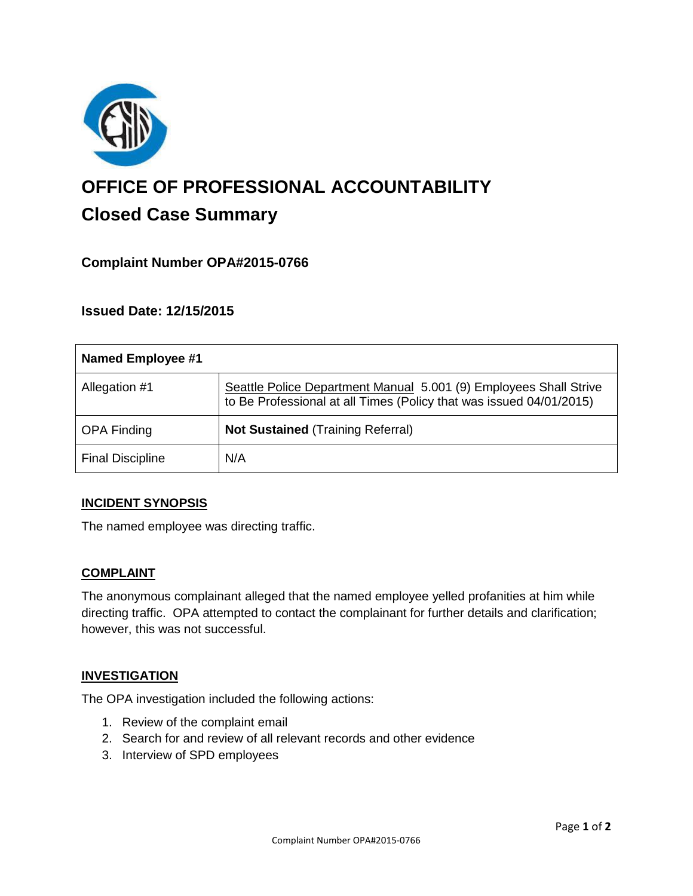

# **OFFICE OF PROFESSIONAL ACCOUNTABILITY Closed Case Summary**

## **Complaint Number OPA#2015-0766**

**Issued Date: 12/15/2015**

| Named Employee #1       |                                                                                                                                          |
|-------------------------|------------------------------------------------------------------------------------------------------------------------------------------|
| Allegation #1           | Seattle Police Department Manual 5.001 (9) Employees Shall Strive<br>to Be Professional at all Times (Policy that was issued 04/01/2015) |
| <b>OPA Finding</b>      | <b>Not Sustained (Training Referral)</b>                                                                                                 |
| <b>Final Discipline</b> | N/A                                                                                                                                      |

#### **INCIDENT SYNOPSIS**

The named employee was directing traffic.

#### **COMPLAINT**

The anonymous complainant alleged that the named employee yelled profanities at him while directing traffic. OPA attempted to contact the complainant for further details and clarification; however, this was not successful.

#### **INVESTIGATION**

The OPA investigation included the following actions:

- 1. Review of the complaint email
- 2. Search for and review of all relevant records and other evidence
- 3. Interview of SPD employees